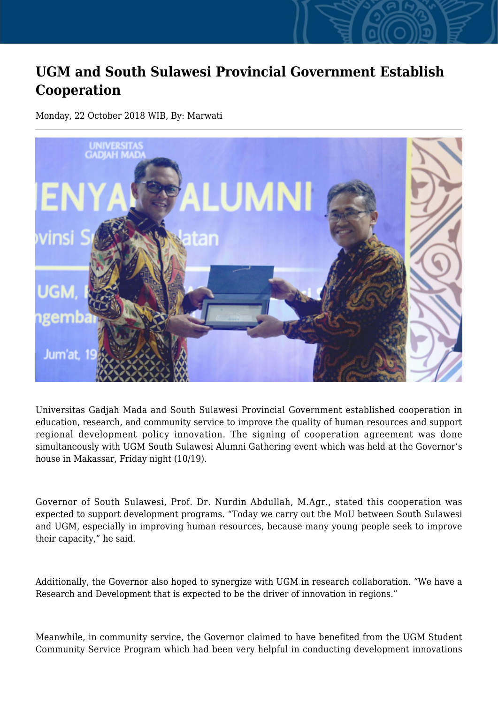## **UGM and South Sulawesi Provincial Government Establish Cooperation**

Monday, 22 October 2018 WIB, By: Marwati



Universitas Gadjah Mada and South Sulawesi Provincial Government established cooperation in education, research, and community service to improve the quality of human resources and support regional development policy innovation. The signing of cooperation agreement was done simultaneously with UGM South Sulawesi Alumni Gathering event which was held at the Governor's house in Makassar, Friday night (10/19).

Governor of South Sulawesi, Prof. Dr. Nurdin Abdullah, M.Agr., stated this cooperation was expected to support development programs. "Today we carry out the MoU between South Sulawesi and UGM, especially in improving human resources, because many young people seek to improve their capacity," he said.

Additionally, the Governor also hoped to synergize with UGM in research collaboration. "We have a Research and Development that is expected to be the driver of innovation in regions."

Meanwhile, in community service, the Governor claimed to have benefited from the UGM Student Community Service Program which had been very helpful in conducting development innovations